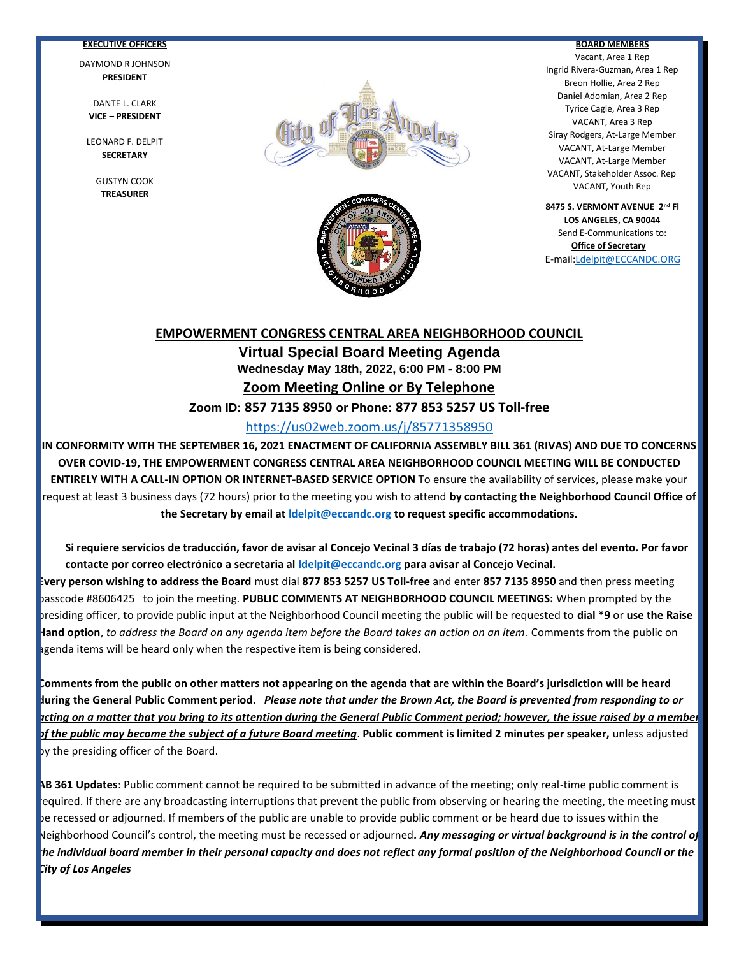#### **EXECUTIVE OFFICERS**

DAYMOND R JOHNSON **PRESIDENT**

DANTE L. CLARK **VICE – PRESIDENT**

LEONARD F. DELPIT **SECRETARY**

> GUSTYN COOK **TREASURER**



Ī



#### **BOARD MEMBERS**

Vacant, Area 1 Rep Ingrid Rivera-Guzman, Area 1 Rep Breon Hollie, Area 2 Rep Daniel Adomian, Area 2 Rep Tyrice Cagle, Area 3 Rep VACANT, Area 3 Rep Siray Rodgers, At-Large Member VACANT, At-Large Member VACANT, At-Large Member VACANT, Stakeholder Assoc. Rep VACANT, Youth Rep

**8475 S. VERMONT AVENUE 2nd Fl LOS ANGELES, CA 90044** Send E-Communications to: **Office of Secretary** E-mail[:Ldelpit@ECCANDC.ORG](mailto:Ldelpit@ECCANDC.ORG)

#### **EMPOWERMENT CONGRESS CENTRAL AREA NEIGHBORHOOD COUNCIL**

**Virtual Special Board Meeting Agenda Wednesday May 18th, 2022, 6:00 PM - 8:00 PM Zoom Meeting Online or By Telephone**

**Zoom ID: 857 7135 8950 or Phone: 877 853 5257 US Toll-free**

# <https://us02web.zoom.us/j/85771358950>

**IN CONFORMITY WITH THE SEPTEMBER 16, 2021 ENACTMENT OF CALIFORNIA ASSEMBLY BILL 361 (RIVAS) AND DUE TO CONCERNS OVER COVID-19, THE EMPOWERMENT CONGRESS CENTRAL AREA NEIGHBORHOOD COUNCIL MEETING WILL BE CONDUCTED ENTIRELY WITH A CALL-IN OPTION OR INTERNET-BASED SERVICE OPTION** To ensure the availability of services, please make your request at least 3 business days (72 hours) prior to the meeting you wish to attend **by contacting the Neighborhood Council Office of the Secretary by email at [ldelpit@eccandc.org](mailto:ldelpit@eccandc.org) to request specific accommodations.**

**Si requiere servicios de traducción, favor de avisar al Concejo Vecinal 3 días de trabajo (72 horas) antes del evento. Por favor contacte por correo electrónico a secretaria al [ldelpit@eccandc.org](mailto:ldelpit@eccandc.org) para avisar al Concejo Vecinal.**

**Every person wishing to address the Board** must dial **877 853 5257 US Toll-free** and enter **857 7135 8950** and then press meeting passcode #8606425 to join the meeting. **PUBLIC COMMENTS AT NEIGHBORHOOD COUNCIL MEETINGS:** When prompted by the presiding officer, to provide public input at the Neighborhood Council meeting the public will be requested to **dial \*9** or **use the Raise Hand option**, *to address the Board on any agenda item before the Board takes an action on an item*. Comments from the public on agenda items will be heard only when the respective item is being considered.

**Comments from the public on other matters not appearing on the agenda that are within the Board's jurisdiction will be heard during the General Public Comment period.** *Please note that under the Brown Act, the Board is prevented from responding to or acting on a matter that you bring to its attention during the General Public Comment period; however, the issue raised by a member of the public may become the subject of a future Board meeting*. **Public comment is limited 2 minutes per speaker,** unless adjusted by the presiding officer of the Board.

**AB 361 Updates**: Public comment cannot be required to be submitted in advance of the meeting; only real-time public comment is required. If there are any broadcasting interruptions that prevent the public from observing or hearing the meeting, the meeting must be recessed or adjourned. If members of the public are unable to provide public comment or be heard due to issues within the Neighborhood Council's control, the meeting must be recessed or adjourned*. Any messaging or virtual background is in the control of the individual board member in their personal capacity and does not reflect any formal position of the Neighborhood Council or the City of Los Angeles*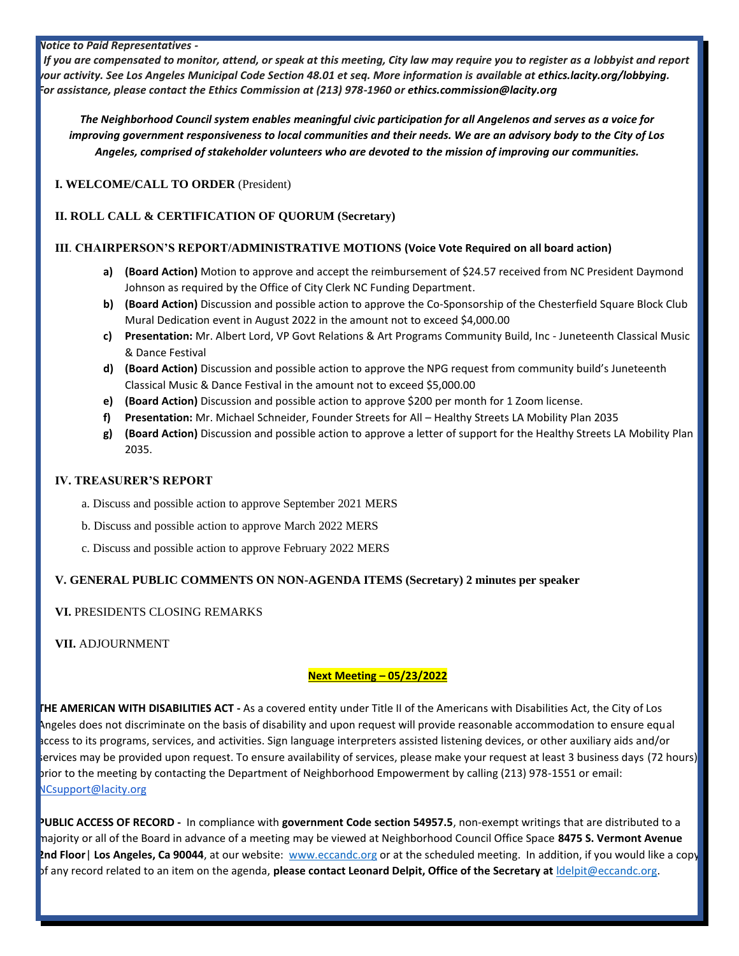#### *Notice to Paid Representatives -*

 *If you are compensated to monitor, attend, or speak at this meeting, City law may require you to register as a lobbyist and report your activity. See Los Angeles Municipal Code Section 48.01 et seq. More information is available at [ethics.lacity.org/lobbying.](http://ethics.lacity.org/lobbying) For assistance, please contact the Ethics Commission at (213) 978-1960 or [ethics.commission@lacity.org](mailto:ethics.commission@lacity.org)*

*The Neighborhood Council system enables meaningful civic participation for all Angelenos and serves as a voice for improving government responsiveness to local communities and their needs. We are an advisory body to the City of Los Angeles, comprised of stakeholder volunteers who are devoted to the mission of improving our communities.*

**I. WELCOME/CALL TO ORDER** (President)

# **II. ROLL CALL & CERTIFICATION OF QUORUM (Secretary)**

#### **III**. **CHAIRPERSON'S REPORT/ADMINISTRATIVE MOTIONS (Voice Vote Required on all board action)**

- **a) (Board Action)** Motion to approve and accept the reimbursement of \$24.57 received from NC President Daymond Johnson as required by the Office of City Clerk NC Funding Department.
- **b) (Board Action)** Discussion and possible action to approve the Co-Sponsorship of the Chesterfield Square Block Club Mural Dedication event in August 2022 in the amount not to exceed \$4,000.00
- **c) Presentation:** Mr. Albert Lord, VP Govt Relations & Art Programs Community Build, Inc Juneteenth Classical Music & Dance Festival
- **d) (Board Action)** Discussion and possible action to approve the NPG request from community build's Juneteenth Classical Music & Dance Festival in the amount not to exceed \$5,000.00
- **e) (Board Action)** Discussion and possible action to approve \$200 per month for 1 Zoom license.
- **f) Presentation:** Mr. Michael Schneider, Founder Streets for All Healthy Streets LA Mobility Plan 2035
- **g) (Board Action)** Discussion and possible action to approve a letter of support for the Healthy Streets LA Mobility Plan 2035.

#### **IV. TREASURER'S REPORT**

- a. Discuss and possible action to approve September 2021 MERS
- b. Discuss and possible action to approve March 2022 MERS
- c. Discuss and possible action to approve February 2022 MERS

# **V. GENERAL PUBLIC COMMENTS ON NON-AGENDA ITEMS (Secretary) 2 minutes per speaker**

# **VI.** PRESIDENTS CLOSING REMARKS

**VII.** ADJOURNMENT

# **Next Meeting – 05/23/2022**

**THE AMERICAN WITH DISABILITIES ACT -** As a covered entity under Title II of the Americans with Disabilities Act, the City of Los Angeles does not discriminate on the basis of disability and upon request will provide reasonable accommodation to ensure equal access to its programs, services, and activities. Sign language interpreters assisted listening devices, or other auxiliary aids and/or services may be provided upon request. To ensure availability of services, please make your request at least 3 business days (72 hours) prior to the meeting by contacting the Department of Neighborhood Empowerment by calling (213) 978-1551 or email: [NCsupport@lacity.org](mailto:NCsupport@lacity.org)

**PUBLIC ACCESS OF RECORD -** In compliance with **government Code section 54957.5**, non-exempt writings that are distributed to a majority or all of the Board in advance of a meeting may be viewed at Neighborhood Council Office Space **8475 S. Vermont Avenue 2nd Floor**| **Los Angeles, Ca 90044**, at our website: [www.eccandc.org](http://www.eccandc.org/) or at the scheduled meeting. In addition, if you would like a copy of any record related to an item on the agenda, **please contact Leonard Delpit, Office of the Secretary at** [ldelpit@eccandc.org.](mailto:ldelpit@eccandc.org)